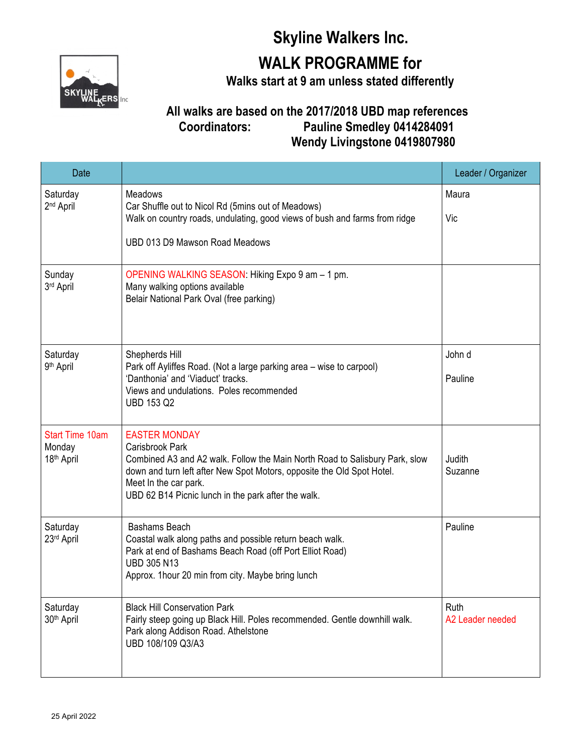## **Skyline Walkers Inc.**



**WALK PROGRAMME for**

**Walks start at 9 am unless stated differently**

## **All walks are based on the 2017/2018 UBD map references Coordinators: Pauline Smedley 0414284091 Wendy Livingstone 0419807980**

| Date                                                       |                                                                                                                                                                                                                                                                                  | Leader / Organizer       |
|------------------------------------------------------------|----------------------------------------------------------------------------------------------------------------------------------------------------------------------------------------------------------------------------------------------------------------------------------|--------------------------|
| Saturday<br>2 <sup>nd</sup> April                          | Meadows<br>Car Shuffle out to Nicol Rd (5mins out of Meadows)<br>Walk on country roads, undulating, good views of bush and farms from ridge                                                                                                                                      | Maura<br>Vic             |
|                                                            | UBD 013 D9 Mawson Road Meadows                                                                                                                                                                                                                                                   |                          |
| Sunday<br>3rd April                                        | OPENING WALKING SEASON: Hiking Expo 9 am - 1 pm.<br>Many walking options available<br>Belair National Park Oval (free parking)                                                                                                                                                   |                          |
| Saturday<br>9 <sup>th</sup> April                          | Shepherds Hill<br>Park off Ayliffes Road. (Not a large parking area - wise to carpool)<br>'Danthonia' and 'Viaduct' tracks.<br>Views and undulations. Poles recommended<br><b>UBD 153 Q2</b>                                                                                     | John d<br>Pauline        |
| <b>Start Time 10am</b><br>Monday<br>18 <sup>th</sup> April | <b>EASTER MONDAY</b><br>Carisbrook Park<br>Combined A3 and A2 walk. Follow the Main North Road to Salisbury Park, slow<br>down and turn left after New Spot Motors, opposite the Old Spot Hotel.<br>Meet In the car park.<br>UBD 62 B14 Picnic lunch in the park after the walk. | Judith<br>Suzanne        |
| Saturday<br>23rd April                                     | Bashams Beach<br>Coastal walk along paths and possible return beach walk.<br>Park at end of Bashams Beach Road (off Port Elliot Road)<br><b>UBD 305 N13</b><br>Approx. 1 hour 20 min from city. Maybe bring lunch                                                                | Pauline                  |
| Saturday<br>30 <sup>th</sup> April                         | <b>Black Hill Conservation Park</b><br>Fairly steep going up Black Hill. Poles recommended. Gentle downhill walk.<br>Park along Addison Road. Athelstone<br>UBD 108/109 Q3/A3                                                                                                    | Ruth<br>A2 Leader needed |